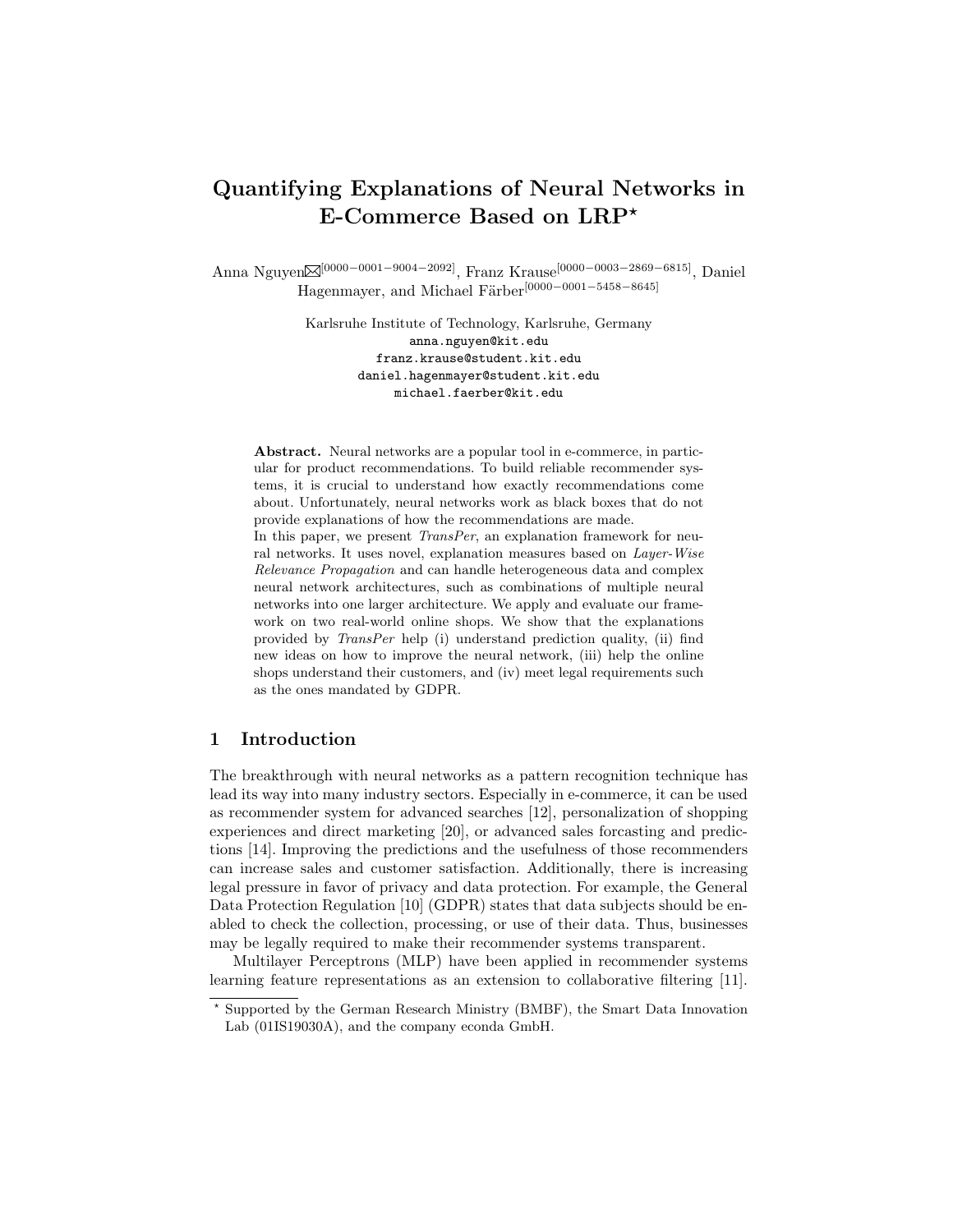# Quantifying Explanations of Neural Networks in E-Commerce Based on  $LRP^*$

Anna Nguyen⊠<sup>[0000–0001–9004–2092]</sup>, Franz Krause<sup>[0000–0003–2869–6815]</sup>, Daniel Hagenmayer, and Michael Färber $^{[0000-0001-5458-8645]}$ 

> Karlsruhe Institute of Technology, Karlsruhe, Germany anna.nguyen@kit.edu franz.krause@student.kit.edu daniel.hagenmayer@student.kit.edu michael.faerber@kit.edu

Abstract. Neural networks are a popular tool in e-commerce, in particular for product recommendations. To build reliable recommender systems, it is crucial to understand how exactly recommendations come about. Unfortunately, neural networks work as black boxes that do not provide explanations of how the recommendations are made. In this paper, we present *TransPer*, an explanation framework for neural networks. It uses novel, explanation measures based on Layer-Wise Relevance Propagation and can handle heterogeneous data and complex neural network architectures, such as combinations of multiple neural networks into one larger architecture. We apply and evaluate our framework on two real-world online shops. We show that the explanations provided by TransPer help (i) understand prediction quality, (ii) find new ideas on how to improve the neural network, (iii) help the online shops understand their customers, and (iv) meet legal requirements such as the ones mandated by GDPR.

## 1 Introduction

The breakthrough with neural networks as a pattern recognition technique has lead its way into many industry sectors. Especially in e-commerce, it can be used as recommender system for advanced searches [12], personalization of shopping experiences and direct marketing [20], or advanced sales forcasting and predictions [14]. Improving the predictions and the usefulness of those recommenders can increase sales and customer satisfaction. Additionally, there is increasing legal pressure in favor of privacy and data protection. For example, the General Data Protection Regulation [10] (GDPR) states that data subjects should be enabled to check the collection, processing, or use of their data. Thus, businesses may be legally required to make their recommender systems transparent.

Multilayer Perceptrons (MLP) have been applied in recommender systems learning feature representations as an extension to collaborative filtering [11].

<sup>?</sup> Supported by the German Research Ministry (BMBF), the Smart Data Innovation Lab (01IS19030A), and the company econda GmbH.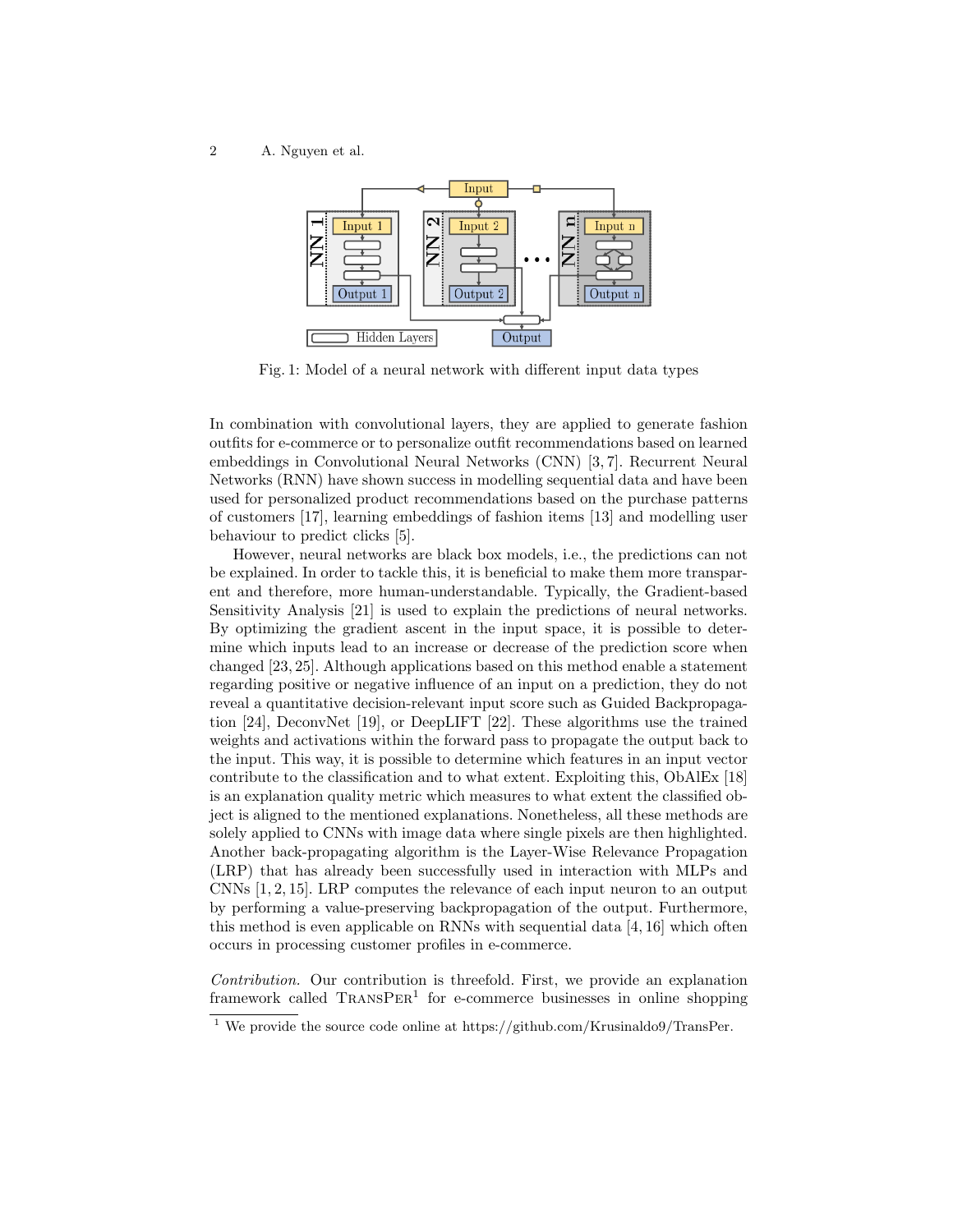2 A. Nguyen et al.



Fig. 1: Model of a neural network with different input data types

In combination with convolutional layers, they are applied to generate fashion outfits for e-commerce or to personalize outfit recommendations based on learned embeddings in Convolutional Neural Networks (CNN) [3, 7]. Recurrent Neural Networks (RNN) have shown success in modelling sequential data and have been used for personalized product recommendations based on the purchase patterns of customers [17], learning embeddings of fashion items [13] and modelling user behaviour to predict clicks [5].

However, neural networks are black box models, i.e., the predictions can not be explained. In order to tackle this, it is beneficial to make them more transparent and therefore, more human-understandable. Typically, the Gradient-based Sensitivity Analysis [21] is used to explain the predictions of neural networks. By optimizing the gradient ascent in the input space, it is possible to determine which inputs lead to an increase or decrease of the prediction score when changed [23, 25]. Although applications based on this method enable a statement regarding positive or negative influence of an input on a prediction, they do not reveal a quantitative decision-relevant input score such as Guided Backpropagation [24], DeconvNet [19], or DeepLIFT [22]. These algorithms use the trained weights and activations within the forward pass to propagate the output back to the input. This way, it is possible to determine which features in an input vector contribute to the classification and to what extent. Exploiting this, ObAlEx [18] is an explanation quality metric which measures to what extent the classified object is aligned to the mentioned explanations. Nonetheless, all these methods are solely applied to CNNs with image data where single pixels are then highlighted. Another back-propagating algorithm is the Layer-Wise Relevance Propagation (LRP) that has already been successfully used in interaction with MLPs and CNNs [1, 2, 15]. LRP computes the relevance of each input neuron to an output by performing a value-preserving backpropagation of the output. Furthermore, this method is even applicable on RNNs with sequential data [4, 16] which often occurs in processing customer profiles in e-commerce.

Contribution. Our contribution is threefold. First, we provide an explanation framework called TRANSPER<sup>1</sup> for e-commerce businesses in online shopping

<sup>&</sup>lt;sup>1</sup> We provide the source code online at https://github.com/Krusinaldo9/TransPer.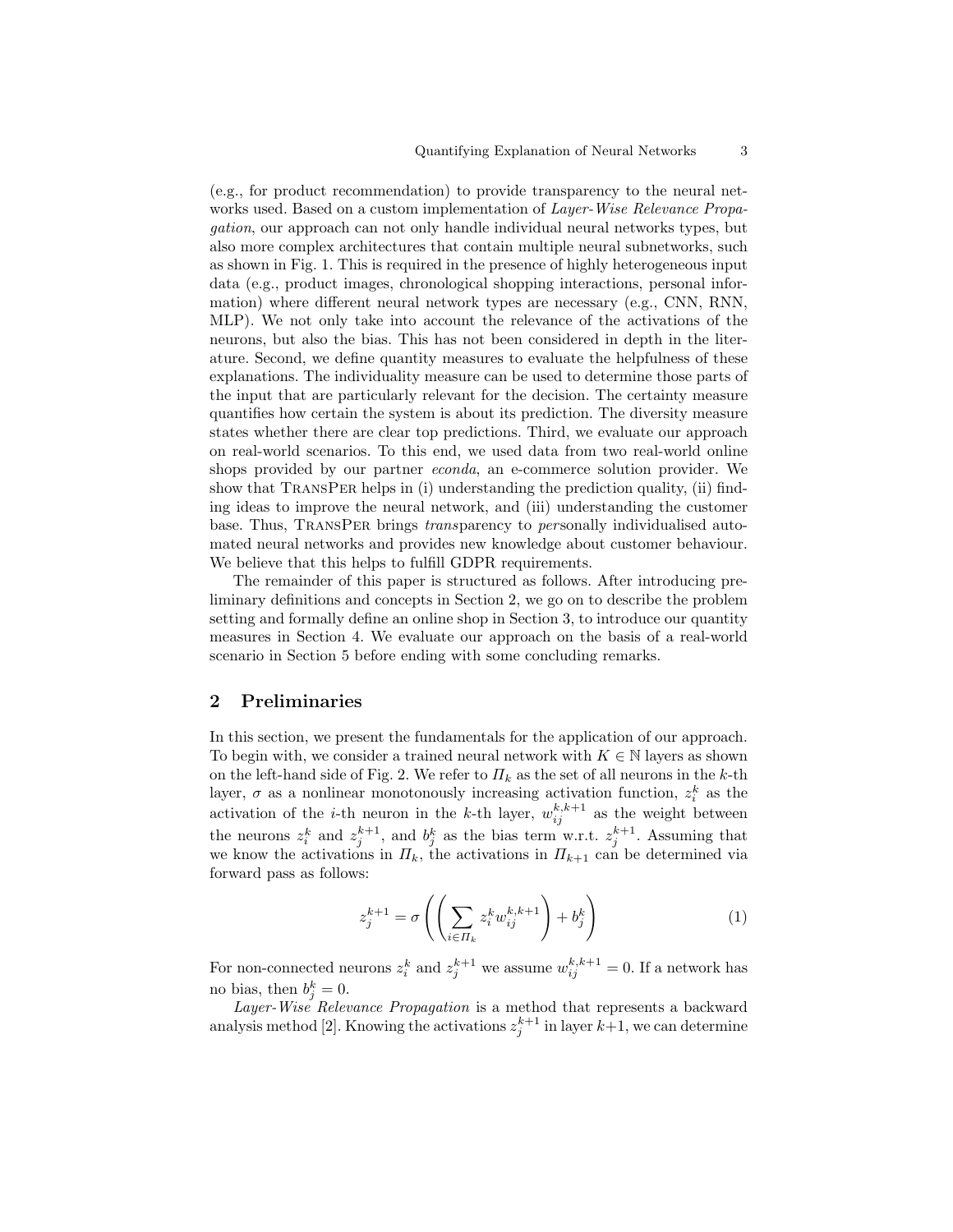(e.g., for product recommendation) to provide transparency to the neural networks used. Based on a custom implementation of *Layer-Wise Relevance Propa*gation, our approach can not only handle individual neural networks types, but also more complex architectures that contain multiple neural subnetworks, such as shown in Fig. 1. This is required in the presence of highly heterogeneous input data (e.g., product images, chronological shopping interactions, personal information) where different neural network types are necessary (e.g., CNN, RNN, MLP). We not only take into account the relevance of the activations of the neurons, but also the bias. This has not been considered in depth in the literature. Second, we define quantity measures to evaluate the helpfulness of these explanations. The individuality measure can be used to determine those parts of the input that are particularly relevant for the decision. The certainty measure quantifies how certain the system is about its prediction. The diversity measure states whether there are clear top predictions. Third, we evaluate our approach on real-world scenarios. To this end, we used data from two real-world online shops provided by our partner econda, an e-commerce solution provider. We show that TransPer helps in (i) understanding the prediction quality, (ii) finding ideas to improve the neural network, and (iii) understanding the customer base. Thus, TRANSPER brings *transparency* to *personally individualised auto*mated neural networks and provides new knowledge about customer behaviour. We believe that this helps to fulfill GDPR requirements.

The remainder of this paper is structured as follows. After introducing preliminary definitions and concepts in Section 2, we go on to describe the problem setting and formally define an online shop in Section 3, to introduce our quantity measures in Section 4. We evaluate our approach on the basis of a real-world scenario in Section 5 before ending with some concluding remarks.

## 2 Preliminaries

In this section, we present the fundamentals for the application of our approach. To begin with, we consider a trained neural network with  $K \in \mathbb{N}$  layers as shown on the left-hand side of Fig. 2. We refer to  $\Pi_k$  as the set of all neurons in the k-th layer,  $\sigma$  as a nonlinear monotonously increasing activation function,  $z_i^k$  as the activation of the *i*-th neuron in the *k*-th layer,  $w_{ij}^{k,k+1}$  as the weight between the neurons  $z_i^k$  and  $z_j^{k+1}$ , and  $b_j^k$  as the bias term w.r.t.  $z_j^{k+1}$ . Assuming that we know the activations in  $\Pi_k$ , the activations in  $\Pi_{k+1}$  can be determined via forward pass as follows:

$$
z_j^{k+1} = \sigma\left(\left(\sum_{i \in \Pi_k} z_i^k w_{ij}^{k,k+1}\right) + b_j^k\right) \tag{1}
$$

For non-connected neurons  $z_i^k$  and  $z_j^{k+1}$  we assume  $w_{ij}^{k,k+1} = 0$ . If a network has no bias, then  $b_j^k = 0$ .

Layer-Wise Relevance Propagation is a method that represents a backward analysis method [2]. Knowing the activations  $z_j^{k+1}$  in layer  $k+1$ , we can determine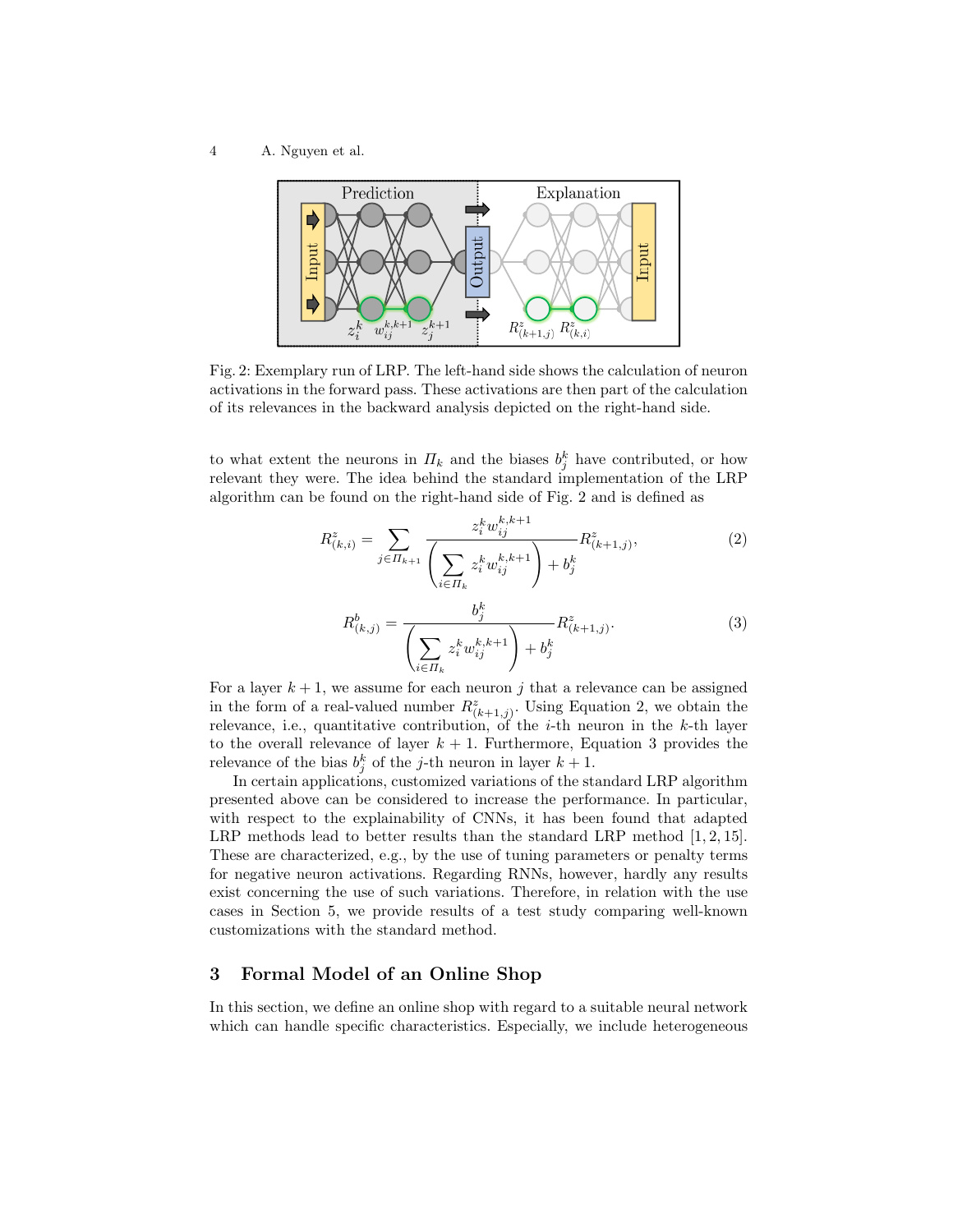4 A. Nguyen et al.



Fig. 2: Exemplary run of LRP. The left-hand side shows the calculation of neuron activations in the forward pass. These activations are then part of the calculation of its relevances in the backward analysis depicted on the right-hand side.

to what extent the neurons in  $\Pi_k$  and the biases  $b_j^k$  have contributed, or how relevant they were. The idea behind the standard implementation of the LRP algorithm can be found on the right-hand side of Fig. 2 and is defined as

$$
R_{(k,i)}^z = \sum_{j \in \Pi_{k+1}} \frac{z_i^k w_{ij}^{k,k+1}}{\left(\sum_{i \in \Pi_k} z_i^k w_{ij}^{k,k+1}\right) + b_j^k} R_{(k+1,j)}^z,
$$
\n<sup>(2)</sup>

$$
R_{(k,j)}^b = \frac{b_j^k}{\left(\sum_{i \in \Pi_k} z_i^k w_{ij}^{k,k+1}\right) + b_j^k} R_{(k+1,j)}^z.
$$
 (3)

For a layer  $k+1$ , we assume for each neuron j that a relevance can be assigned in the form of a real-valued number  $R^z_{(k+1,j)}$ . Using Equation 2, we obtain the relevance, i.e., quantitative contribution, of the *i*-th neuron in the *k*-th layer to the overall relevance of layer  $k + 1$ . Furthermore, Equation 3 provides the relevance of the bias  $b_j^k$  of the j-th neuron in layer  $k+1$ .

In certain applications, customized variations of the standard LRP algorithm presented above can be considered to increase the performance. In particular, with respect to the explainability of CNNs, it has been found that adapted LRP methods lead to better results than the standard LRP method  $[1, 2, 15]$ . These are characterized, e.g., by the use of tuning parameters or penalty terms for negative neuron activations. Regarding RNNs, however, hardly any results exist concerning the use of such variations. Therefore, in relation with the use cases in Section 5, we provide results of a test study comparing well-known customizations with the standard method.

## 3 Formal Model of an Online Shop

In this section, we define an online shop with regard to a suitable neural network which can handle specific characteristics. Especially, we include heterogeneous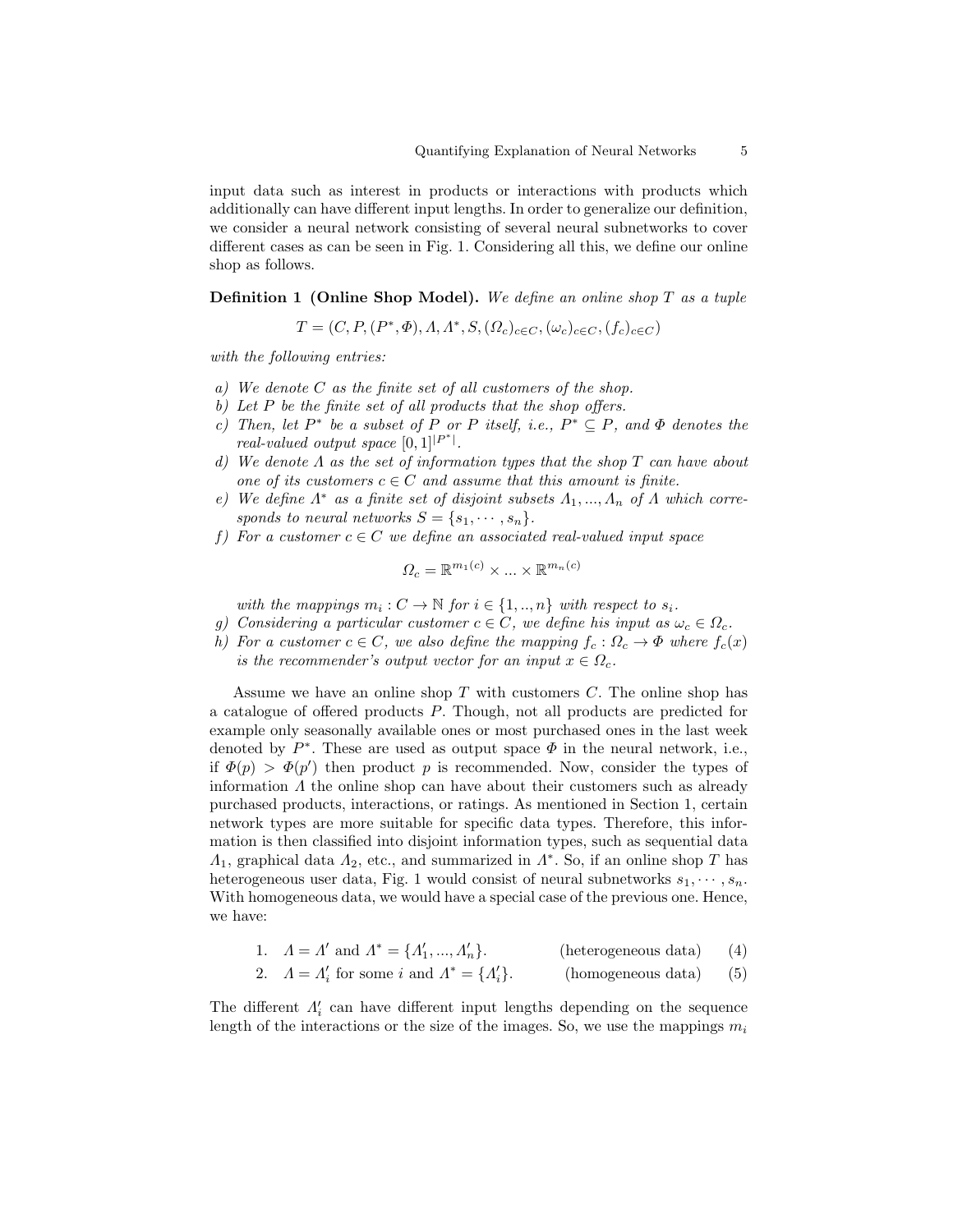input data such as interest in products or interactions with products which additionally can have different input lengths. In order to generalize our definition, we consider a neural network consisting of several neural subnetworks to cover different cases as can be seen in Fig. 1. Considering all this, we define our online shop as follows.

**Definition 1 (Online Shop Model).** We define an online shop  $T$  as a tuple

 $T = (C, P, (P^*, \Phi), \Lambda, \Lambda^*, S, (\Omega_c)_{c \in C}, (\omega_c)_{c \in C}, (f_c)_{c \in C})$ 

with the following entries:

- a) We denote C as the finite set of all customers of the shop.
- b) Let  $P$  be the finite set of all products that the shop offers.
- c) Then, let  $P^*$  be a subset of P or P itself, i.e.,  $P^* \subseteq P$ , and  $\Phi$  denotes the real-valued output space  $[0, 1]^{P^*}$ .
- d) We denote  $\Lambda$  as the set of information types that the shop  $T$  can have about one of its customers  $c \in C$  and assume that this amount is finite.
- e) We define  $\Lambda^*$  as a finite set of disjoint subsets  $\Lambda_1, ..., \Lambda_n$  of  $\Lambda$  which corresponds to neural networks  $S = \{s_1, \dots, s_n\}.$
- f) For a customer  $c \in C$  we define an associated real-valued input space

$$
\Omega_c = \mathbb{R}^{m_1(c)} \times \dots \times \mathbb{R}^{m_n(c)}
$$

with the mappings  $m_i : C \to \mathbb{N}$  for  $i \in \{1, ..., n\}$  with respect to  $s_i$ .

- g) Considering a particular customer  $c \in C$ , we define his input as  $\omega_c \in \Omega_c$ .
- h) For a customer  $c \in C$ , we also define the mapping  $f_c : \Omega_c \to \Phi$  where  $f_c(x)$ is the recommender's output vector for an input  $x \in \Omega_c$ .

Assume we have an online shop  $T$  with customers  $C$ . The online shop has a catalogue of offered products P. Though, not all products are predicted for example only seasonally available ones or most purchased ones in the last week denoted by  $P^*$ . These are used as output space  $\Phi$  in the neural network, i.e., if  $\Phi(p) > \Phi(p')$  then product p is recommended. Now, consider the types of information  $\Lambda$  the online shop can have about their customers such as already purchased products, interactions, or ratings. As mentioned in Section 1, certain network types are more suitable for specific data types. Therefore, this information is then classified into disjoint information types, such as sequential data  $\Lambda_1$ , graphical data  $\Lambda_2$ , etc., and summarized in  $\Lambda^*$ . So, if an online shop T has heterogeneous user data, Fig. 1 would consist of neural subnetworks  $s_1, \dots, s_n$ . With homogeneous data, we would have a special case of the previous one. Hence, we have:

1.  $\Lambda = \Lambda'$  and  $\Lambda^* = {\Lambda'_1, ..., \Lambda'_n}$ (heterogeneous data) (4)

2. 
$$
\Lambda = \Lambda'_i
$$
 for some *i* and  $\Lambda^* = {\Lambda'_i}$ . (homogeneous data) (5)

The different  $\Lambda'_i$  can have different input lengths depending on the sequence length of the interactions or the size of the images. So, we use the mappings  $m_i$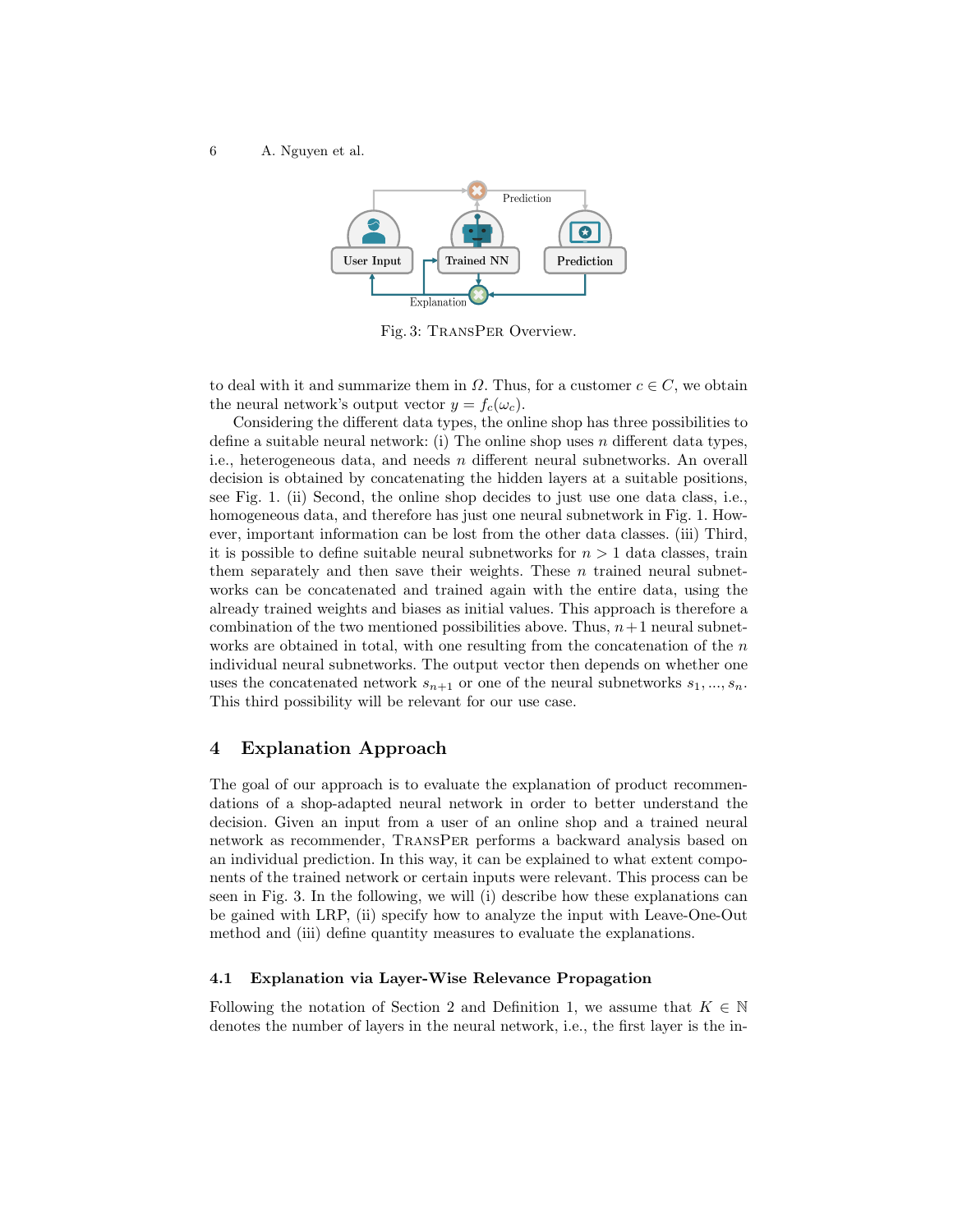6 A. Nguyen et al.



Fig. 3: TransPer Overview.

to deal with it and summarize them in  $\Omega$ . Thus, for a customer  $c \in C$ , we obtain the neural network's output vector  $y = f_c(\omega_c)$ .

Considering the different data types, the online shop has three possibilities to define a suitable neural network: (i) The online shop uses n different data types. i.e., heterogeneous data, and needs n different neural subnetworks. An overall decision is obtained by concatenating the hidden layers at a suitable positions, see Fig. 1. (ii) Second, the online shop decides to just use one data class, i.e., homogeneous data, and therefore has just one neural subnetwork in Fig. 1. However, important information can be lost from the other data classes. (iii) Third, it is possible to define suitable neural subnetworks for  $n > 1$  data classes, train them separately and then save their weights. These  $n$  trained neural subnetworks can be concatenated and trained again with the entire data, using the already trained weights and biases as initial values. This approach is therefore a combination of the two mentioned possibilities above. Thus,  $n+1$  neural subnetworks are obtained in total, with one resulting from the concatenation of the  $n$ individual neural subnetworks. The output vector then depends on whether one uses the concatenated network  $s_{n+1}$  or one of the neural subnetworks  $s_1, ..., s_n$ . This third possibility will be relevant for our use case.

## 4 Explanation Approach

The goal of our approach is to evaluate the explanation of product recommendations of a shop-adapted neural network in order to better understand the decision. Given an input from a user of an online shop and a trained neural network as recommender, TransPer performs a backward analysis based on an individual prediction. In this way, it can be explained to what extent components of the trained network or certain inputs were relevant. This process can be seen in Fig. 3. In the following, we will (i) describe how these explanations can be gained with LRP, (ii) specify how to analyze the input with Leave-One-Out method and (iii) define quantity measures to evaluate the explanations.

#### 4.1 Explanation via Layer-Wise Relevance Propagation

Following the notation of Section 2 and Definition 1, we assume that  $K \in \mathbb{N}$ denotes the number of layers in the neural network, i.e., the first layer is the in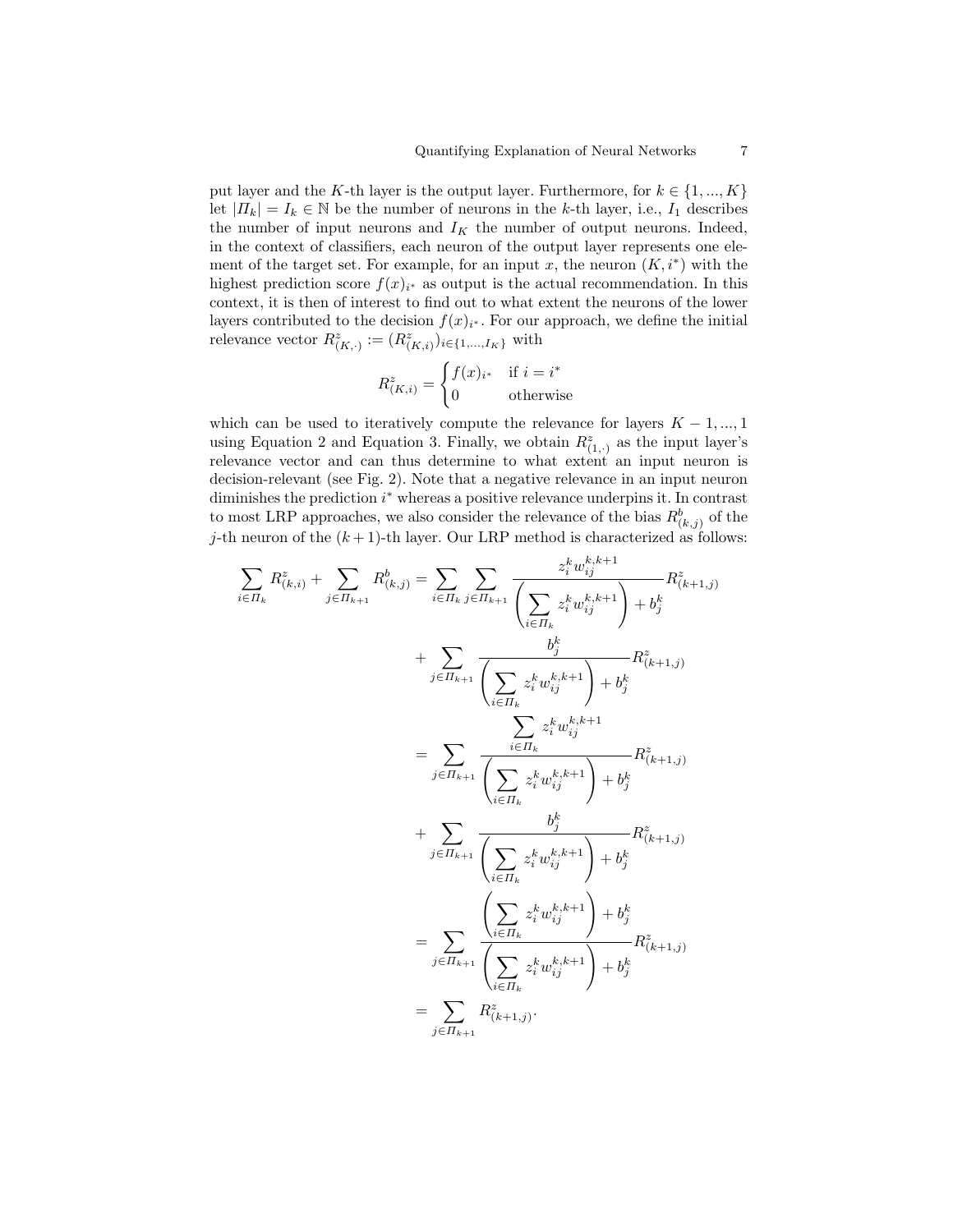put layer and the K-th layer is the output layer. Furthermore, for  $k \in \{1, ..., K\}$ let  $|H_k| = I_k \in \mathbb{N}$  be the number of neurons in the k-th layer, i.e.,  $I_1$  describes the number of input neurons and  $I_K$  the number of output neurons. Indeed, in the context of classifiers, each neuron of the output layer represents one element of the target set. For example, for an input x, the neuron  $(K, i^*)$  with the highest prediction score  $f(x)_{i^*}$  as output is the actual recommendation. In this context, it is then of interest to find out to what extent the neurons of the lower layers contributed to the decision  $f(x)_{i^*}$ . For our approach, we define the initial relevance vector  $R^z_{(K,:)} := (R^z_{(K,i)})_{i \in \{1,\dots,I_K\}}$  with

$$
R_{(K,i)}^z = \begin{cases} f(x)_{i^*} & \text{if } i = i^* \\ 0 & \text{otherwise} \end{cases}
$$

which can be used to iteratively compute the relevance for layers  $K - 1, ..., 1$ using Equation 2 and Equation 3. Finally, we obtain  $R^z_{(1, \cdot)}$  as the input layer's relevance vector and can thus determine to what extent an input neuron is decision-relevant (see Fig. 2). Note that a negative relevance in an input neuron diminishes the prediction  $i^*$  whereas a positive relevance underpins it. In contrast to most LRP approaches, we also consider the relevance of the bias  $R^b_{(k,j)}$  of the j-th neuron of the  $(k + 1)$ -th layer. Our LRP method is characterized as follows:

$$
\sum_{i \in \Pi_k} R^z_{(k,i)} + \sum_{j \in \Pi_{k+1}} R^b_{(k,j)} = \sum_{i \in \Pi_k} \sum_{j \in \Pi_{k+1}} \frac{z_i^k w_{ij}^{k,k+1}}{\left(\sum_{i \in \Pi_k} z_i^k w_{ij}^{k,k+1}\right) + b_j^k} R^z_{(k+1,j)}
$$
\n
$$
+ \sum_{j \in \Pi_{k+1}} \frac{b_j^k}{\left(\sum_{i \in \Pi_k} z_i^k w_{ij}^{k,k+1}\right) + b_j^k} R^z_{(k+1,j)}
$$
\n
$$
= \sum_{j \in \Pi_{k+1}} \frac{\sum_{i \in \Pi_k} z_i^k w_{ij}^{k,k+1}}{\left(\sum_{i \in \Pi_k} z_i^k w_{ij}^{k,k+1}\right) + b_j^k} R^z_{(k+1,j)}
$$
\n
$$
+ \sum_{j \in \Pi_{k+1}} \frac{b_j^k}{\left(\sum_{i \in \Pi_k} z_i^k w_{ij}^{k,k+1}\right) + b_j^k} R^z_{(k+1,j)}
$$
\n
$$
= \sum_{j \in \Pi_{k+1}} \frac{\left(\sum_{i \in \Pi_k} z_i^k w_{ij}^{k,k+1}\right) + b_j^k}{\left(\sum_{i \in \Pi_k} z_i^k w_{ij}^{k,k+1}\right) + b_j^k} R^z_{(k+1,j)}
$$
\n
$$
= \sum_{j \in \Pi_{k+1}} R^z_{(k+1,j)}.
$$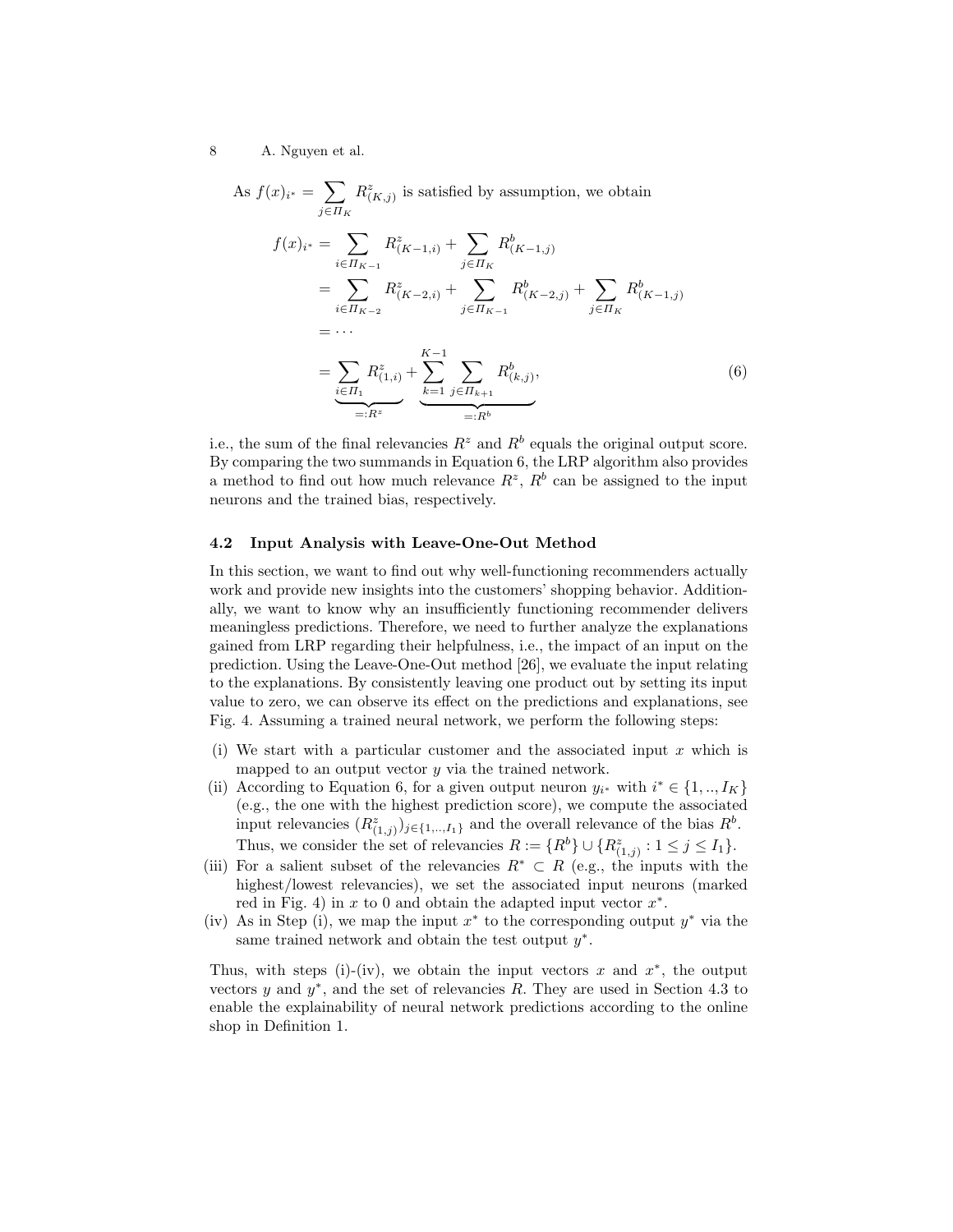8 A. Nguyen et al.

As 
$$
f(x)_{i^*} = \sum_{j \in \Pi_K} R^z_{(K,j)}
$$
 is satisfied by assumption, we obtain  
\n
$$
f(x)_{i^*} = \sum_{i \in \Pi_{K-1}} R^z_{(K-1,i)} + \sum_{j \in \Pi_K} R^b_{(K-1,j)}
$$
\n
$$
= \sum_{i \in \Pi_{K-2}} R^z_{(K-2,i)} + \sum_{j \in \Pi_{K-1}} R^b_{(K-2,j)} + \sum_{j \in \Pi_K} R^b_{(K-1,j)}
$$
\n
$$
= \cdots
$$
\n
$$
= \sum_{i \in \Pi_1} R^z_{(1,i)} + \sum_{k=1}^{K-1} \sum_{j \in \Pi_{k+1}} R^b_{(k,j)},
$$
\n(6)\n
$$
=: R^z
$$

i.e., the sum of the final relevancies  $R^z$  and  $R^b$  equals the original output score. By comparing the two summands in Equation 6, the LRP algorithm also provides a method to find out how much relevance  $R^z$ ,  $R^b$  can be assigned to the input neurons and the trained bias, respectively.

#### 4.2 Input Analysis with Leave-One-Out Method

In this section, we want to find out why well-functioning recommenders actually work and provide new insights into the customers' shopping behavior. Additionally, we want to know why an insufficiently functioning recommender delivers meaningless predictions. Therefore, we need to further analyze the explanations gained from LRP regarding their helpfulness, i.e., the impact of an input on the prediction. Using the Leave-One-Out method [26], we evaluate the input relating to the explanations. By consistently leaving one product out by setting its input value to zero, we can observe its effect on the predictions and explanations, see Fig. 4. Assuming a trained neural network, we perform the following steps:

- (i) We start with a particular customer and the associated input x which is mapped to an output vector  $y$  via the trained network.
- (ii) According to Equation 6, for a given output neuron  $y_{i^*}$  with  $i^* \in \{1, ..., I_K\}$ (e.g., the one with the highest prediction score), we compute the associated input relevancies  $(R^z_{(1,j)})_{j\in\{1,\ldots,I_1\}}$  and the overall relevance of the bias  $R^b$ . Thus, we consider the set of relevancies  $R := \{R^b\} \cup \{R^z_{(1,j)} : 1 \leq j \leq I_1\}.$
- (iii) For a salient subset of the relevancies  $R^* \subset R$  (e.g., the inputs with the highest/lowest relevancies), we set the associated input neurons (marked red in Fig. 4) in  $x$  to 0 and obtain the adapted input vector  $x^*$ .
- (iv) As in Step (i), we map the input  $x^*$  to the corresponding output  $y^*$  via the same trained network and obtain the test output  $y^*$ .

Thus, with steps (i)-(iv), we obtain the input vectors x and  $x^*$ , the output vectors  $y$  and  $y^*$ , and the set of relevancies  $R$ . They are used in Section 4.3 to enable the explainability of neural network predictions according to the online shop in Definition 1.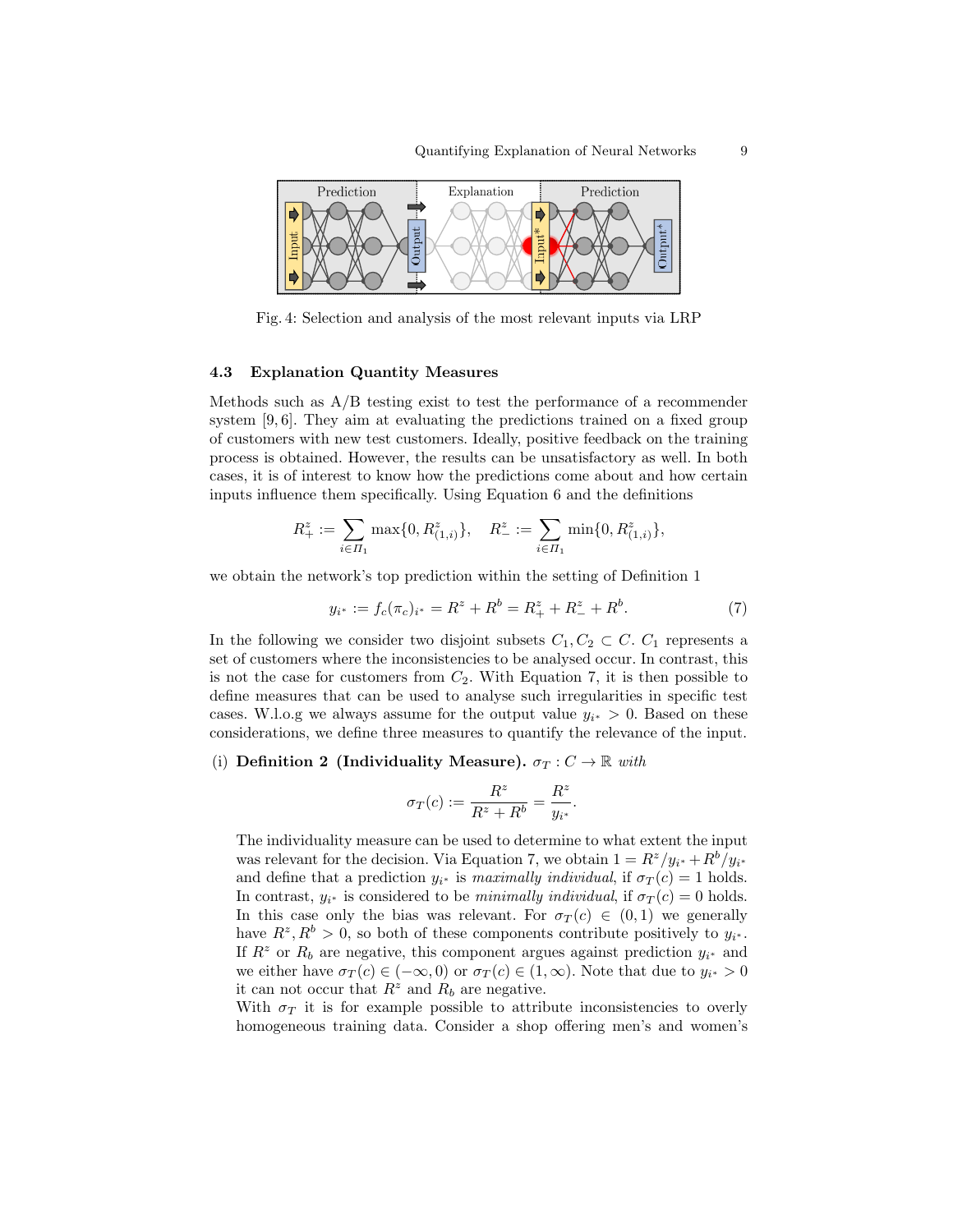

Fig. 4: Selection and analysis of the most relevant inputs via LRP

#### 4.3 Explanation Quantity Measures

Methods such as  $A/B$  testing exist to test the performance of a recommender system [9, 6]. They aim at evaluating the predictions trained on a fixed group of customers with new test customers. Ideally, positive feedback on the training process is obtained. However, the results can be unsatisfactory as well. In both cases, it is of interest to know how the predictions come about and how certain inputs influence them specifically. Using Equation 6 and the definitions

$$
R_+^z:=\sum_{i\in \varPi_1}\max\{0,R_{(1,i)}^z\},\quad R_-^z:=\sum_{i\in \varPi_1}\min\{0,R_{(1,i)}^z\},
$$

we obtain the network's top prediction within the setting of Definition 1

$$
y_{i^*} := f_c(\pi_c)_{i^*} = R^z + R^b = R^z_+ + R^z_- + R^b. \tag{7}
$$

In the following we consider two disjoint subsets  $C_1, C_2 \subset C$ .  $C_1$  represents a set of customers where the inconsistencies to be analysed occur. In contrast, this is not the case for customers from  $C_2$ . With Equation 7, it is then possible to define measures that can be used to analyse such irregularities in specific test cases. W.l.o.g we always assume for the output value  $y_{i^*} > 0$ . Based on these considerations, we define three measures to quantify the relevance of the input.

#### (i) Definition 2 (Individuality Measure).  $\sigma_T : C \to \mathbb{R}$  with

$$
\sigma_T(c) := \frac{R^z}{R^z + R^b} = \frac{R^z}{y_{i^*}}.
$$

The individuality measure can be used to determine to what extent the input was relevant for the decision. Via Equation 7, we obtain  $1 = R^z/y_{i^*} + R^b/y_{i^*}$ and define that a prediction  $y_{i^*}$  is maximally individual, if  $\sigma_T(c) = 1$  holds. In contrast,  $y_{i^*}$  is considered to be *minimally individual*, if  $\sigma_T(c) = 0$  holds. In this case only the bias was relevant. For  $\sigma_T(c) \in (0,1)$  we generally have  $R^z, R^b > 0$ , so both of these components contribute positively to  $y_{i^*}$ . If  $R^z$  or  $R_b$  are negative, this component argues against prediction  $y_{i^*}$  and we either have  $\sigma_T(c) \in (-\infty, 0)$  or  $\sigma_T(c) \in (1, \infty)$ . Note that due to  $y_{i^*} > 0$ it can not occur that  $R^z$  and  $R_b$  are negative.

With  $\sigma_T$  it is for example possible to attribute inconsistencies to overly homogeneous training data. Consider a shop offering men's and women's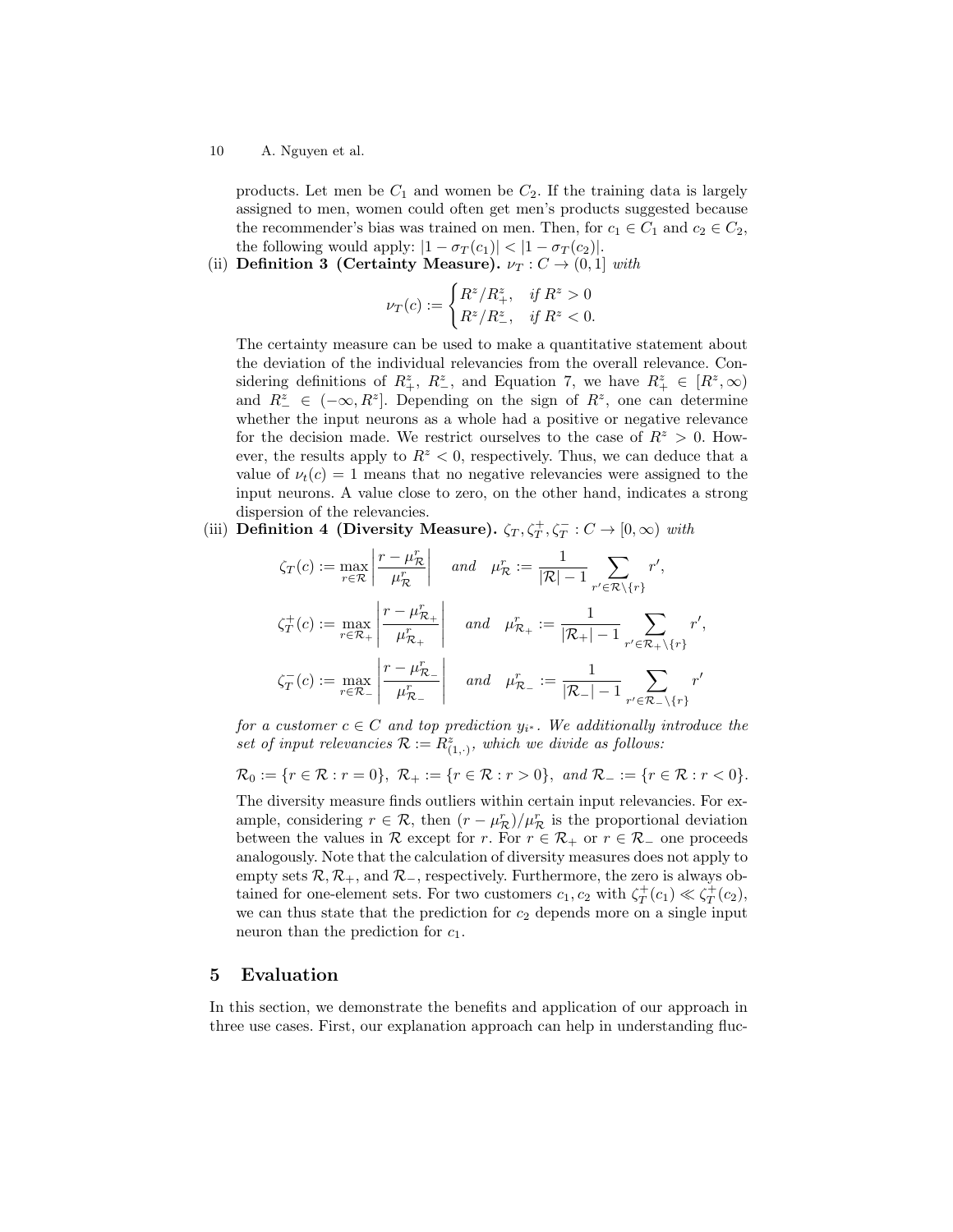10 A. Nguyen et al.

products. Let men be  $C_1$  and women be  $C_2$ . If the training data is largely assigned to men, women could often get men's products suggested because the recommender's bias was trained on men. Then, for  $c_1 \in C_1$  and  $c_2 \in C_2$ , the following would apply:  $|1 - \sigma_T(c_1)| < |1 - \sigma_T(c_2)|$ .

(ii) Definition 3 (Certainty Measure).  $\nu_T : C \to (0,1]$  with

$$
\nu_T(c) := \begin{cases} R^z/R_+^z, & \text{if } R^z > 0\\ R^z/R_-^z, & \text{if } R^z < 0. \end{cases}
$$

The certainty measure can be used to make a quantitative statement about the deviation of the individual relevancies from the overall relevance. Considering definitions of  $R_+^z$ ,  $R_-^z$ , and Equation 7, we have  $R_+^z \in [R^z, \infty)$ and  $R^z$   $\in (-\infty, R^z]$ . Depending on the sign of  $R^z$ , one can determine whether the input neurons as a whole had a positive or negative relevance for the decision made. We restrict ourselves to the case of  $R^z > 0$ . However, the results apply to  $R^z < 0$ , respectively. Thus, we can deduce that a value of  $\nu_t(c) = 1$  means that no negative relevancies were assigned to the input neurons. A value close to zero, on the other hand, indicates a strong dispersion of the relevancies.

(iii) Definition 4 (Diversity Measure).  $\zeta_T, \zeta_T^+, \zeta_T^- : C \to [0, \infty)$  with

$$
\zeta_T(c) := \max_{r \in \mathcal{R}} \left| \frac{r - \mu_{\mathcal{R}}^r}{\mu_{\mathcal{R}}^r} \right| \quad and \quad \mu_{\mathcal{R}}^r := \frac{1}{|\mathcal{R}| - 1} \sum_{r' \in \mathcal{R} \setminus \{r\}} r',
$$
\n
$$
\zeta_T^+(c) := \max_{r \in \mathcal{R}_+} \left| \frac{r - \mu_{\mathcal{R}_+}^r}{\mu_{\mathcal{R}_+}^r} \right| \quad and \quad \mu_{\mathcal{R}_+}^r := \frac{1}{|\mathcal{R}_+| - 1} \sum_{r' \in \mathcal{R}_+ \setminus \{r\}} r',
$$
\n
$$
\zeta_T^-(c) := \max_{r \in \mathcal{R}_-} \left| \frac{r - \mu_{\mathcal{R}_-}^r}{\mu_{\mathcal{R}_-}^r} \right| \quad and \quad \mu_{\mathcal{R}_-}^r := \frac{1}{|\mathcal{R}_-| - 1} \sum_{r' \in \mathcal{R}_- \setminus \{r\}} r'
$$

for a customer  $c \in C$  and top prediction  $y_{i^*}$ . We additionally introduce the set of input relevancies  $\mathcal{R} := R^z_{(1,\cdot)}$ , which we divide as follows:

$$
\mathcal{R}_0 := \{r \in \mathcal{R} : r = 0\}, \ \mathcal{R}_+ := \{r \in \mathcal{R} : r > 0\}, \ \text{and } \mathcal{R}_- := \{r \in \mathcal{R} : r < 0\}.
$$

The diversity measure finds outliers within certain input relevancies. For example, considering  $r \in \mathcal{R}$ , then  $(r - \mu_{\mathcal{R}}^r)/\mu_{\mathcal{R}}^r$  is the proportional deviation between the values in R except for r. For  $r \in \mathcal{R}_+$  or  $r \in \mathcal{R}_-$  one proceeds analogously. Note that the calculation of diversity measures does not apply to empty sets  $\mathcal{R}, \mathcal{R}_+$ , and  $\mathcal{R}_-$ , respectively. Furthermore, the zero is always obtained for one-element sets. For two customers  $c_1, c_2$  with  $\zeta_T^+(c_1) \ll \zeta_T^+(c_2)$ , we can thus state that the prediction for  $c_2$  depends more on a single input neuron than the prediction for  $c_1$ .

## 5 Evaluation

In this section, we demonstrate the benefits and application of our approach in three use cases. First, our explanation approach can help in understanding fluc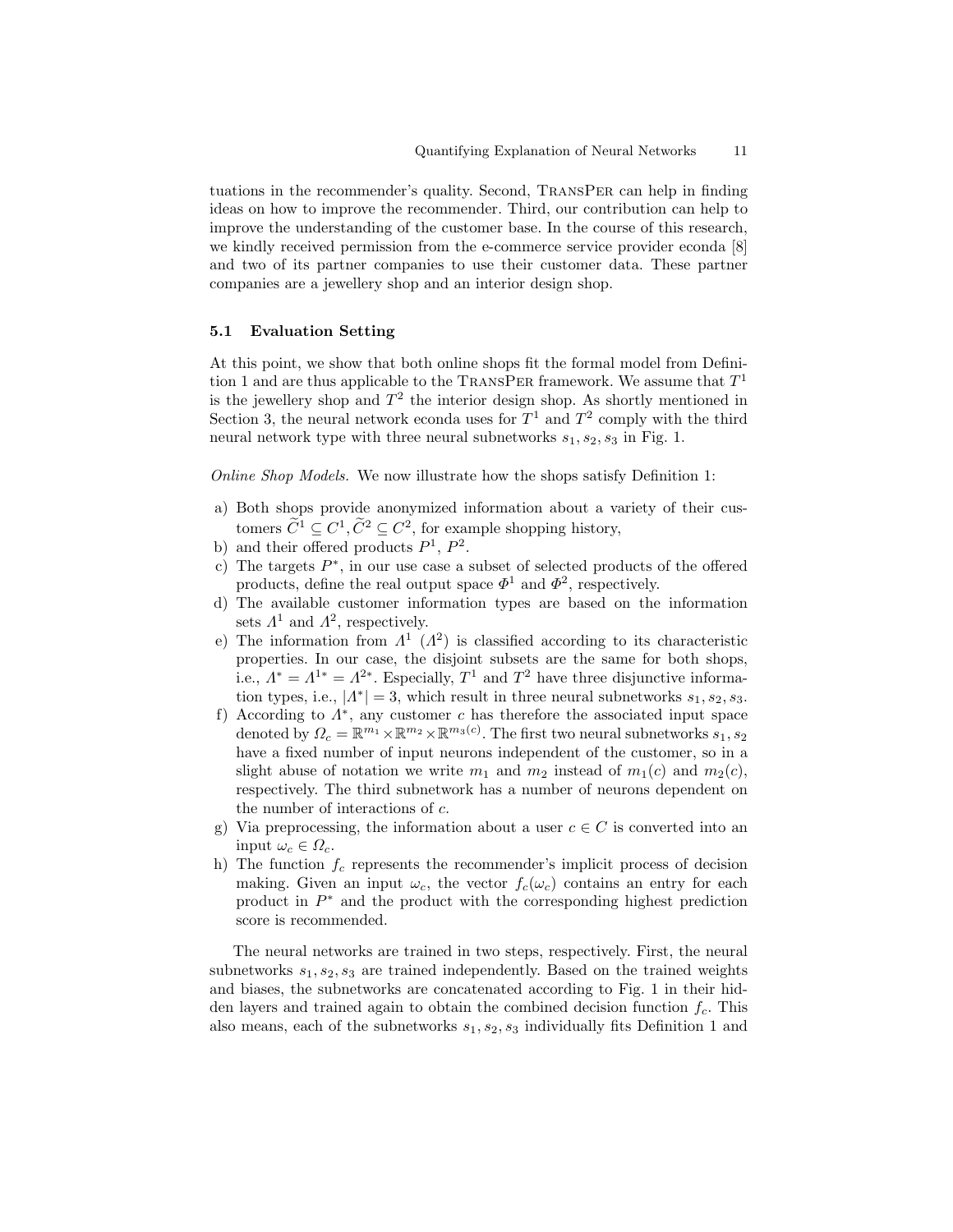tuations in the recommender's quality. Second, TransPer can help in finding ideas on how to improve the recommender. Third, our contribution can help to improve the understanding of the customer base. In the course of this research, we kindly received permission from the e-commerce service provider econda [8] and two of its partner companies to use their customer data. These partner companies are a jewellery shop and an interior design shop.

#### 5.1 Evaluation Setting

At this point, we show that both online shops fit the formal model from Definition 1 and are thus applicable to the TRANSPER framework. We assume that  $T^1$ is the jewellery shop and  $T^2$  the interior design shop. As shortly mentioned in Section 3, the neural network econda uses for  $T^1$  and  $T^2$  comply with the third neural network type with three neural subnetworks  $s_1, s_2, s_3$  in Fig. 1.

Online Shop Models. We now illustrate how the shops satisfy Definition 1:

- a) Both shops provide anonymized information about a variety of their customers  $\tilde{C}^1 \subseteq C^1$ ,  $\tilde{C}^2 \subseteq C^2$ , for example shopping history,
- b) and their offered products  $P^1$ ,  $P^2$ .
- c) The targets  $P^*$ , in our use case a subset of selected products of the offered products, define the real output space  $\Phi^1$  and  $\Phi^2$ , respectively.
- d) The available customer information types are based on the information sets  $\Lambda^1$  and  $\Lambda^2$ , respectively.
- e) The information from  $\Lambda^1$  ( $\Lambda^2$ ) is classified according to its characteristic properties. In our case, the disjoint subsets are the same for both shops, i.e.,  $\Lambda^* = \Lambda^{1*} = \Lambda^{2*}$ . Especially,  $T^1$  and  $T^2$  have three disjunctive information types, i.e.,  $|A^*| = 3$ , which result in three neural subnetworks  $s_1, s_2, s_3$ .
- f) According to  $\Lambda^*$ , any customer c has therefore the associated input space denoted by  $\Omega_c = \mathbb{R}^{m_1} \times \mathbb{R}^{m_2} \times \mathbb{R}^{m_3(c)}$ . The first two neural subnetworks  $s_1, s_2$ have a fixed number of input neurons independent of the customer, so in a slight abuse of notation we write  $m_1$  and  $m_2$  instead of  $m_1(c)$  and  $m_2(c)$ , respectively. The third subnetwork has a number of neurons dependent on the number of interactions of c.
- g) Via preprocessing, the information about a user  $c \in C$  is converted into an input  $\omega_c \in \Omega_c$ .
- h) The function  $f_c$  represents the recommender's implicit process of decision making. Given an input  $\omega_c$ , the vector  $f_c(\omega_c)$  contains an entry for each product in  $P^*$  and the product with the corresponding highest prediction score is recommended.

The neural networks are trained in two steps, respectively. First, the neural subnetworks  $s_1, s_2, s_3$  are trained independently. Based on the trained weights and biases, the subnetworks are concatenated according to Fig. 1 in their hidden layers and trained again to obtain the combined decision function  $f_c$ . This also means, each of the subnetworks  $s_1, s_2, s_3$  individually fits Definition 1 and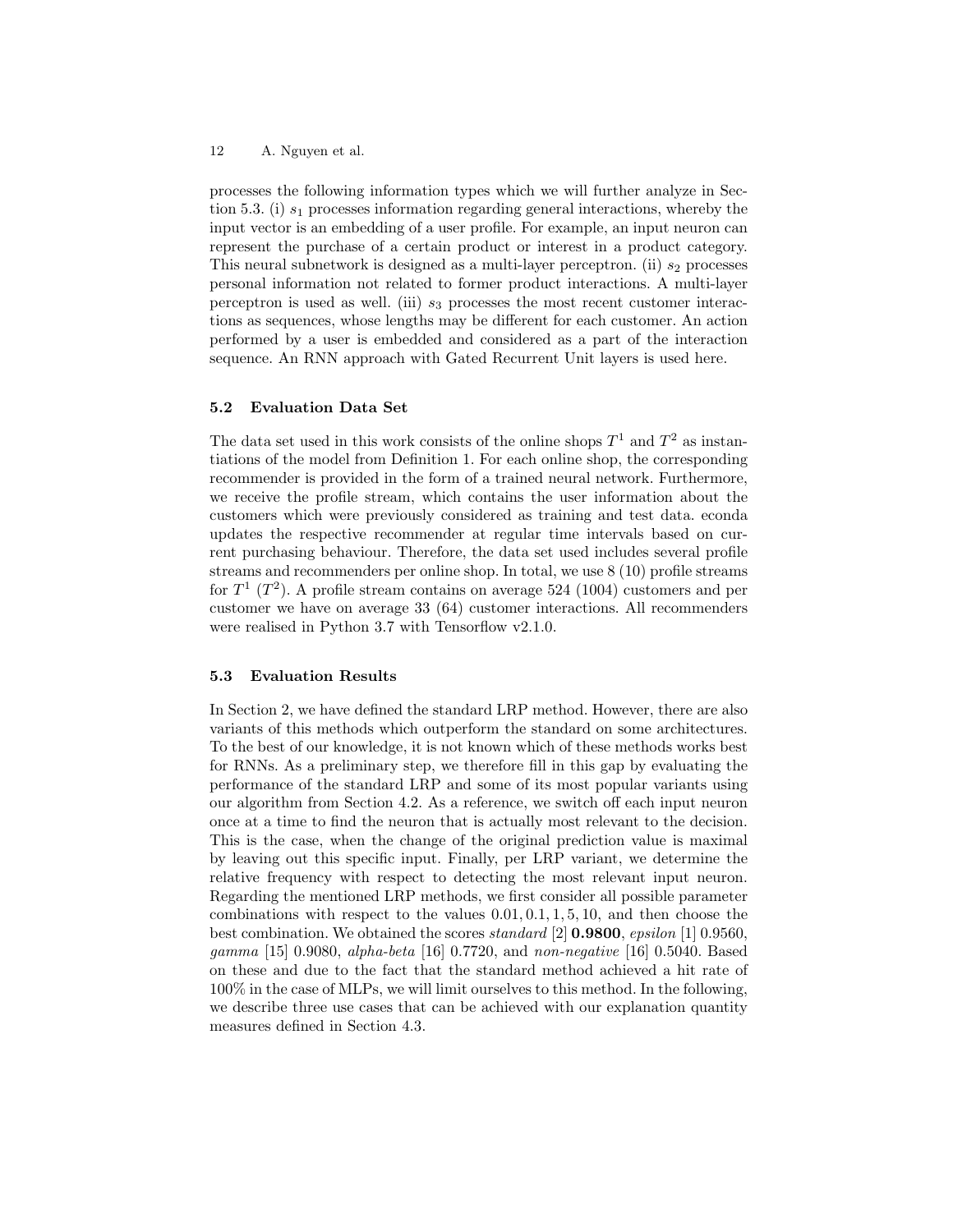12 A. Nguyen et al.

processes the following information types which we will further analyze in Section 5.3. (i)  $s_1$  processes information regarding general interactions, whereby the input vector is an embedding of a user profile. For example, an input neuron can represent the purchase of a certain product or interest in a product category. This neural subnetwork is designed as a multi-layer perceptron. (ii)  $s_2$  processes personal information not related to former product interactions. A multi-layer perceptron is used as well. (iii)  $s_3$  processes the most recent customer interactions as sequences, whose lengths may be different for each customer. An action performed by a user is embedded and considered as a part of the interaction sequence. An RNN approach with Gated Recurrent Unit layers is used here.

## 5.2 Evaluation Data Set

The data set used in this work consists of the online shops  $T^1$  and  $T^2$  as instantiations of the model from Definition 1. For each online shop, the corresponding recommender is provided in the form of a trained neural network. Furthermore, we receive the profile stream, which contains the user information about the customers which were previously considered as training and test data. econda updates the respective recommender at regular time intervals based on current purchasing behaviour. Therefore, the data set used includes several profile streams and recommenders per online shop. In total, we use 8 (10) profile streams for  $T^1$  ( $T^2$ ). A profile stream contains on average 524 (1004) customers and per customer we have on average 33 (64) customer interactions. All recommenders were realised in Python 3.7 with Tensorflow v2.1.0.

## 5.3 Evaluation Results

In Section 2, we have defined the standard LRP method. However, there are also variants of this methods which outperform the standard on some architectures. To the best of our knowledge, it is not known which of these methods works best for RNNs. As a preliminary step, we therefore fill in this gap by evaluating the performance of the standard LRP and some of its most popular variants using our algorithm from Section 4.2. As a reference, we switch off each input neuron once at a time to find the neuron that is actually most relevant to the decision. This is the case, when the change of the original prediction value is maximal by leaving out this specific input. Finally, per LRP variant, we determine the relative frequency with respect to detecting the most relevant input neuron. Regarding the mentioned LRP methods, we first consider all possible parameter combinations with respect to the values  $0.01, 0.1, 1, 5, 10$ , and then choose the best combination. We obtained the scores standard [2] 0.9800, epsilon [1] 0.9560, gamma [15] 0.9080, alpha-beta [16] 0.7720, and non-negative [16] 0.5040. Based on these and due to the fact that the standard method achieved a hit rate of 100% in the case of MLPs, we will limit ourselves to this method. In the following, we describe three use cases that can be achieved with our explanation quantity measures defined in Section 4.3.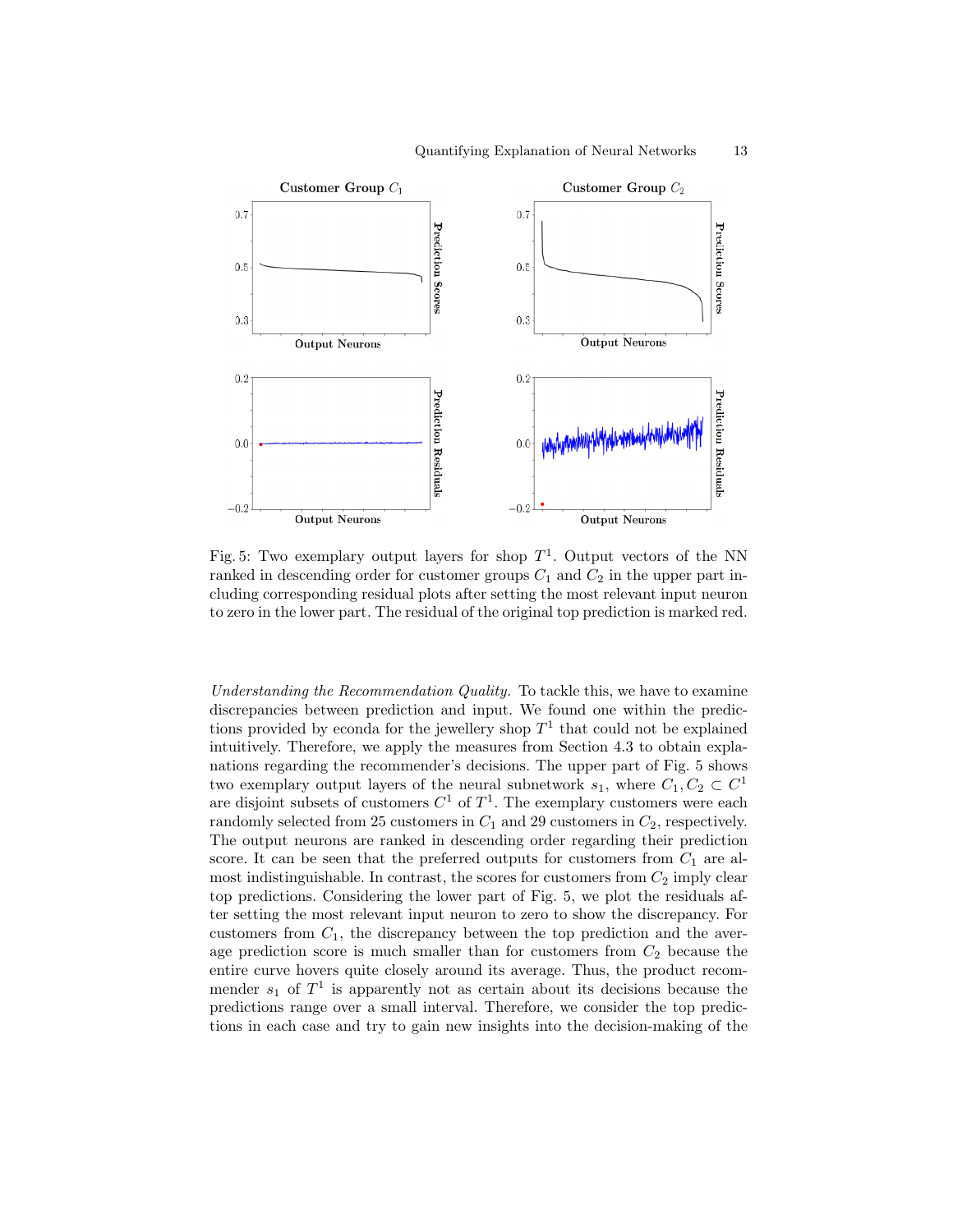

Fig. 5: Two exemplary output layers for shop  $T^1$ . Output vectors of the NN ranked in descending order for customer groups  $C_1$  and  $C_2$  in the upper part including corresponding residual plots after setting the most relevant input neuron to zero in the lower part. The residual of the original top prediction is marked red.

Understanding the Recommendation Quality. To tackle this, we have to examine discrepancies between prediction and input. We found one within the predictions provided by econda for the jewellery shop  $T<sup>1</sup>$  that could not be explained intuitively. Therefore, we apply the measures from Section 4.3 to obtain explanations regarding the recommender's decisions. The upper part of Fig. 5 shows two exemplary output layers of the neural subnetwork  $s_1$ , where  $C_1, C_2 \subset C^1$ are disjoint subsets of customers  $C^1$  of  $T^1$ . The exemplary customers were each randomly selected from 25 customers in  $C_1$  and 29 customers in  $C_2$ , respectively. The output neurons are ranked in descending order regarding their prediction score. It can be seen that the preferred outputs for customers from  $C_1$  are almost indistinguishable. In contrast, the scores for customers from  $C_2$  imply clear top predictions. Considering the lower part of Fig. 5, we plot the residuals after setting the most relevant input neuron to zero to show the discrepancy. For customers from  $C_1$ , the discrepancy between the top prediction and the average prediction score is much smaller than for customers from  $C_2$  because the entire curve hovers quite closely around its average. Thus, the product recommender  $s_1$  of  $T^1$  is apparently not as certain about its decisions because the predictions range over a small interval. Therefore, we consider the top predictions in each case and try to gain new insights into the decision-making of the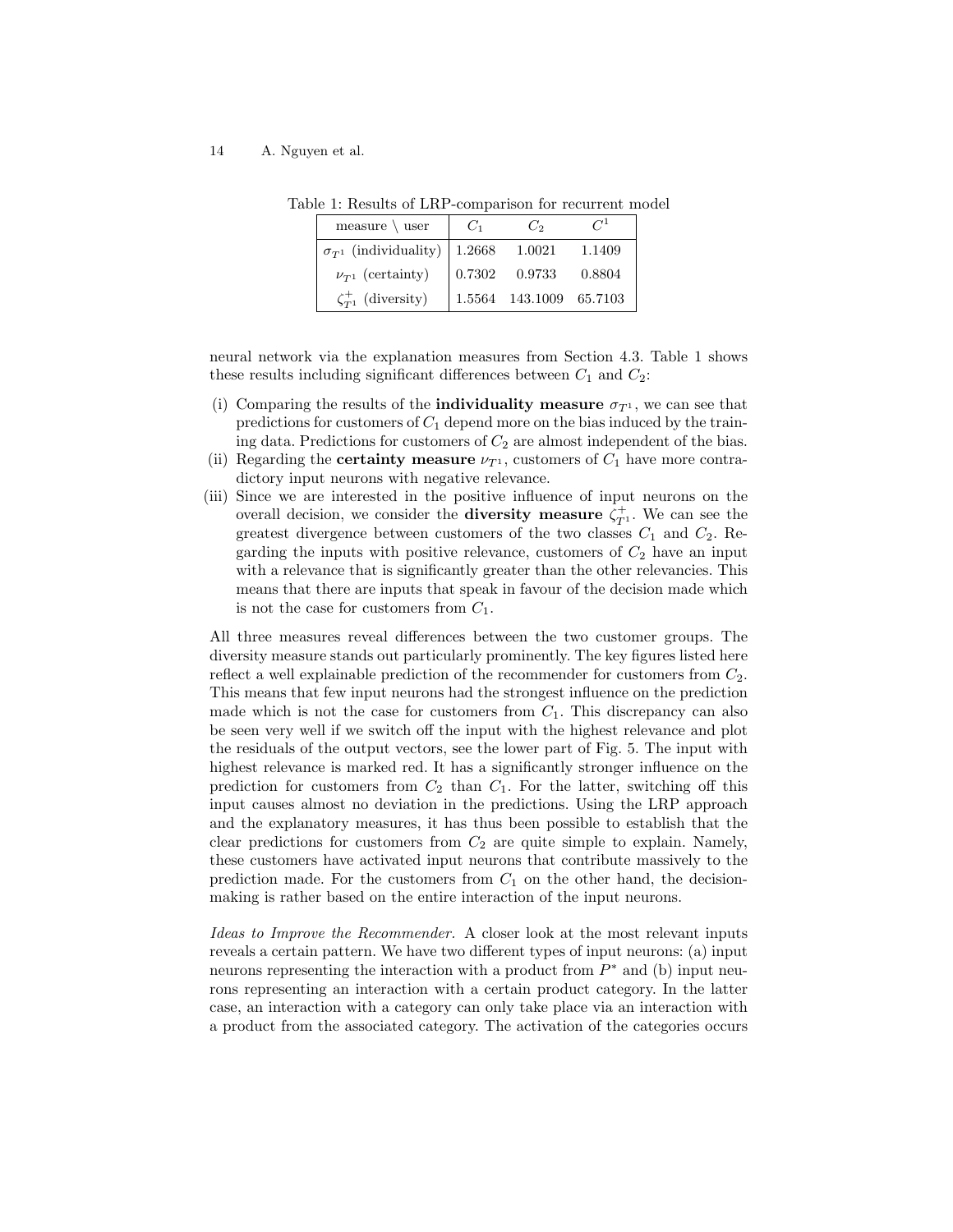14 A. Nguyen et al.

| measure $\backslash$ user               | $C_1$              | $C_2$                   | $C^1$  |
|-----------------------------------------|--------------------|-------------------------|--------|
| $\sigma_{T^1}$ (individuality)   1.2668 |                    | 1.0021                  | 1.1409 |
| $\nu_{T^1}$ (certainty)                 | $\mid 0.7302 \mid$ | 0.9733                  | 0.8804 |
| $\zeta_{T^1}^+$ (diversity)             |                    | 1.5564 143.1009 65.7103 |        |

Table 1: Results of LRP-comparison for recurrent model

neural network via the explanation measures from Section 4.3. Table 1 shows these results including significant differences between  $C_1$  and  $C_2$ :

- (i) Comparing the results of the **individuality measure**  $\sigma_{T^1}$ , we can see that predictions for customers of  $C_1$  depend more on the bias induced by the training data. Predictions for customers of  $C_2$  are almost independent of the bias.
- (ii) Regarding the **certainty measure**  $\nu_{T^1}$ , customers of  $C_1$  have more contradictory input neurons with negative relevance.
- (iii) Since we are interested in the positive influence of input neurons on the overall decision, we consider the **diversity measure**  $\zeta_{T}^+$ . We can see the greatest divergence between customers of the two classes  $C_1$  and  $C_2$ . Regarding the inputs with positive relevance, customers of  $C_2$  have an input with a relevance that is significantly greater than the other relevancies. This means that there are inputs that speak in favour of the decision made which is not the case for customers from  $C_1$ .

All three measures reveal differences between the two customer groups. The diversity measure stands out particularly prominently. The key figures listed here reflect a well explainable prediction of the recommender for customers from  $C_2$ . This means that few input neurons had the strongest influence on the prediction made which is not the case for customers from  $C_1$ . This discrepancy can also be seen very well if we switch off the input with the highest relevance and plot the residuals of the output vectors, see the lower part of Fig. 5. The input with highest relevance is marked red. It has a significantly stronger influence on the prediction for customers from  $C_2$  than  $C_1$ . For the latter, switching off this input causes almost no deviation in the predictions. Using the LRP approach and the explanatory measures, it has thus been possible to establish that the clear predictions for customers from  $C_2$  are quite simple to explain. Namely, these customers have activated input neurons that contribute massively to the prediction made. For the customers from  $C_1$  on the other hand, the decisionmaking is rather based on the entire interaction of the input neurons.

Ideas to Improve the Recommender. A closer look at the most relevant inputs reveals a certain pattern. We have two different types of input neurons: (a) input neurons representing the interaction with a product from  $P^*$  and (b) input neurons representing an interaction with a certain product category. In the latter case, an interaction with a category can only take place via an interaction with a product from the associated category. The activation of the categories occurs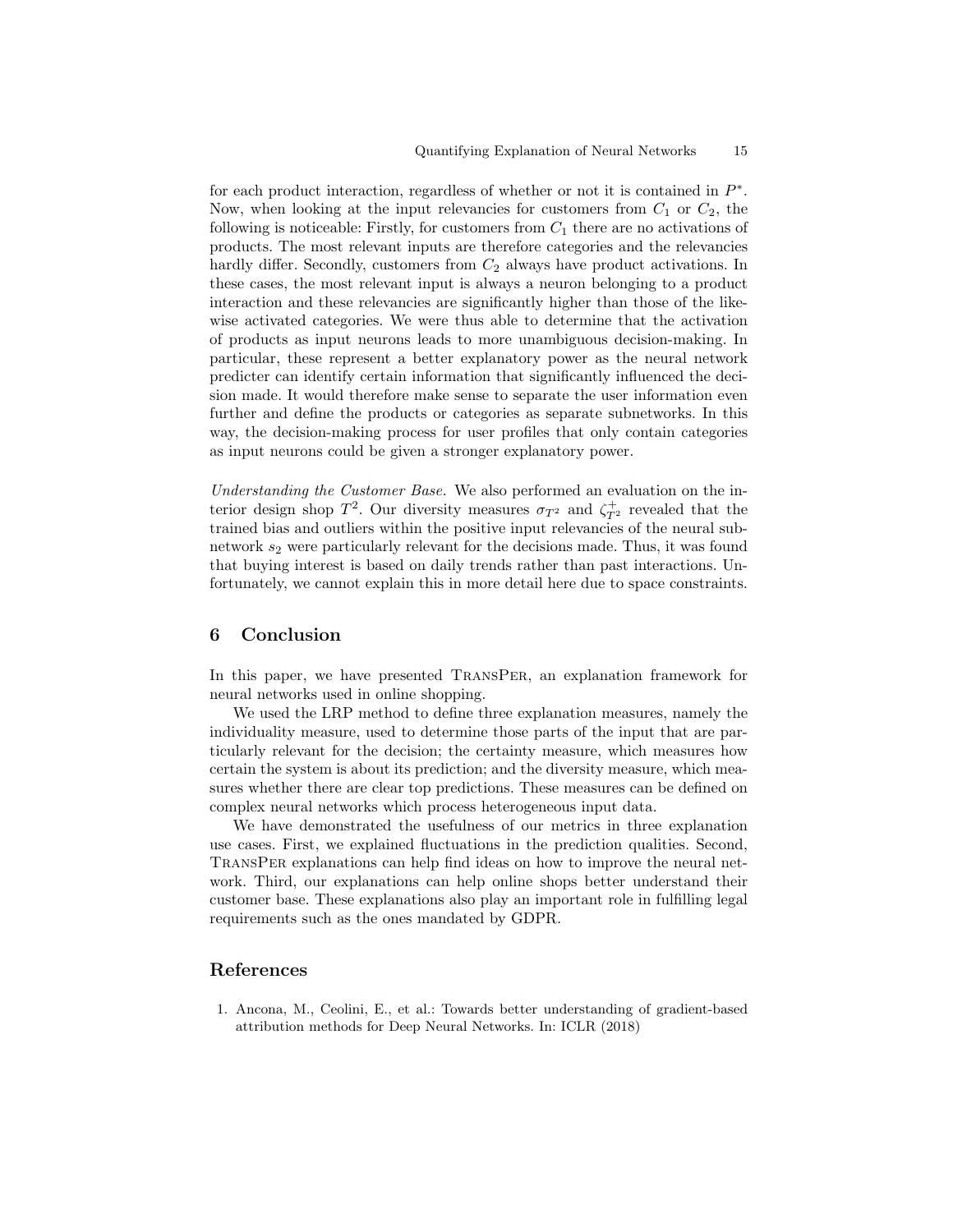for each product interaction, regardless of whether or not it is contained in  $P^*$ . Now, when looking at the input relevancies for customers from  $C_1$  or  $C_2$ , the following is noticeable: Firstly, for customers from  $C_1$  there are no activations of products. The most relevant inputs are therefore categories and the relevancies hardly differ. Secondly, customers from  $C_2$  always have product activations. In these cases, the most relevant input is always a neuron belonging to a product interaction and these relevancies are significantly higher than those of the likewise activated categories. We were thus able to determine that the activation of products as input neurons leads to more unambiguous decision-making. In particular, these represent a better explanatory power as the neural network predicter can identify certain information that significantly influenced the decision made. It would therefore make sense to separate the user information even further and define the products or categories as separate subnetworks. In this way, the decision-making process for user profiles that only contain categories as input neurons could be given a stronger explanatory power.

Understanding the Customer Base. We also performed an evaluation on the interior design shop  $T^2$ . Our diversity measures  $\sigma_{T^2}$  and  $\zeta_{T^2}^+$  revealed that the trained bias and outliers within the positive input relevancies of the neural subnetwork  $s_2$  were particularly relevant for the decisions made. Thus, it was found that buying interest is based on daily trends rather than past interactions. Unfortunately, we cannot explain this in more detail here due to space constraints.

## 6 Conclusion

In this paper, we have presented TransPer, an explanation framework for neural networks used in online shopping.

We used the LRP method to define three explanation measures, namely the individuality measure, used to determine those parts of the input that are particularly relevant for the decision; the certainty measure, which measures how certain the system is about its prediction; and the diversity measure, which measures whether there are clear top predictions. These measures can be defined on complex neural networks which process heterogeneous input data.

We have demonstrated the usefulness of our metrics in three explanation use cases. First, we explained fluctuations in the prediction qualities. Second, TransPer explanations can help find ideas on how to improve the neural network. Third, our explanations can help online shops better understand their customer base. These explanations also play an important role in fulfilling legal requirements such as the ones mandated by GDPR.

## References

1. Ancona, M., Ceolini, E., et al.: Towards better understanding of gradient-based attribution methods for Deep Neural Networks. In: ICLR (2018)